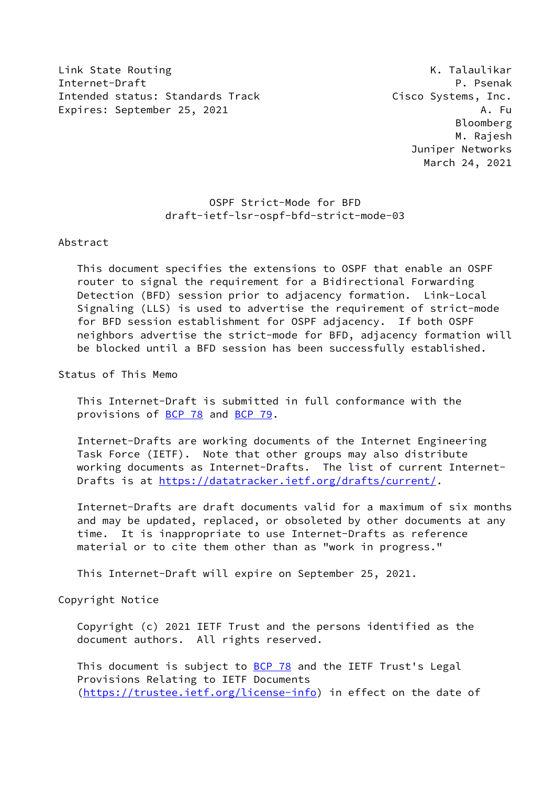Link State Routing The Communication of the Communication of the K. Talaulikar Internet-Draft P. Psenak Intended status: Standards Track Cisco Systems, Inc. Expires: September 25, 2021 A. Fu

 Bloomberg M. Rajesh Juniper Networks March 24, 2021

## OSPF Strict-Mode for BFD draft-ietf-lsr-ospf-bfd-strict-mode-03

## Abstract

 This document specifies the extensions to OSPF that enable an OSPF router to signal the requirement for a Bidirectional Forwarding Detection (BFD) session prior to adjacency formation. Link-Local Signaling (LLS) is used to advertise the requirement of strict-mode for BFD session establishment for OSPF adjacency. If both OSPF neighbors advertise the strict-mode for BFD, adjacency formation will be blocked until a BFD session has been successfully established.

Status of This Memo

 This Internet-Draft is submitted in full conformance with the provisions of [BCP 78](https://datatracker.ietf.org/doc/pdf/bcp78) and [BCP 79](https://datatracker.ietf.org/doc/pdf/bcp79).

 Internet-Drafts are working documents of the Internet Engineering Task Force (IETF). Note that other groups may also distribute working documents as Internet-Drafts. The list of current Internet- Drafts is at<https://datatracker.ietf.org/drafts/current/>.

 Internet-Drafts are draft documents valid for a maximum of six months and may be updated, replaced, or obsoleted by other documents at any time. It is inappropriate to use Internet-Drafts as reference material or to cite them other than as "work in progress."

This Internet-Draft will expire on September 25, 2021.

Copyright Notice

 Copyright (c) 2021 IETF Trust and the persons identified as the document authors. All rights reserved.

This document is subject to **[BCP 78](https://datatracker.ietf.org/doc/pdf/bcp78)** and the IETF Trust's Legal Provisions Relating to IETF Documents [\(https://trustee.ietf.org/license-info](https://trustee.ietf.org/license-info)) in effect on the date of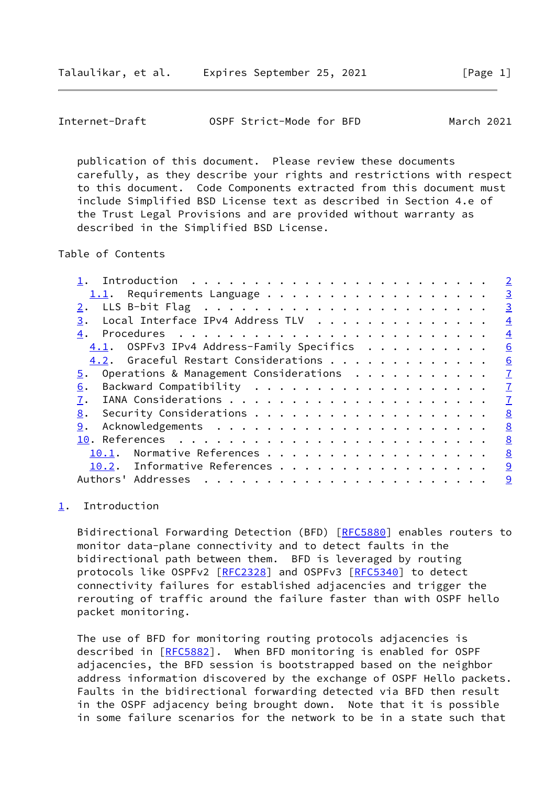<span id="page-1-1"></span>

| Internet-Draft | OSPF Strict-Mode for BFD |  | March 2021 |
|----------------|--------------------------|--|------------|
|----------------|--------------------------|--|------------|

 publication of this document. Please review these documents carefully, as they describe your rights and restrictions with respect to this document. Code Components extracted from this document must include Simplified BSD License text as described in Section 4.e of the Trust Legal Provisions and are provided without warranty as described in the Simplified BSD License.

Table of Contents

|                                              | $\overline{2}$ |
|----------------------------------------------|----------------|
| $1.1$ . Requirements Language                | $\overline{3}$ |
|                                              | $\overline{3}$ |
| Local Interface IPv4 Address TLV<br>3.       | $\overline{4}$ |
| 4.                                           | $\overline{4}$ |
| $4.1.$ OSPFv3 IPv4 Address-Family Specifics  | 6              |
| 4.2. Graceful Restart Considerations         | 6              |
| Operations & Management Considerations<br>5. | $\overline{1}$ |
| 6.                                           | $\overline{1}$ |
| 7.                                           | $\overline{1}$ |
| 8.                                           | 8              |
| 9.                                           | 8              |
|                                              | 8              |
| Normative References<br>10.1.                | 8              |
| 10.2. Informative References                 | 9              |
| Authors' Addresses                           | 9              |
|                                              |                |

## <span id="page-1-0"></span>[1](#page-1-0). Introduction

Bidirectional Forwarding Detection (BFD) [\[RFC5880](https://datatracker.ietf.org/doc/pdf/rfc5880)] enables routers to monitor data-plane connectivity and to detect faults in the bidirectional path between them. BFD is leveraged by routing protocols like OSPFv2 [[RFC2328](https://datatracker.ietf.org/doc/pdf/rfc2328)] and OSPFv3 [[RFC5340\]](https://datatracker.ietf.org/doc/pdf/rfc5340) to detect connectivity failures for established adjacencies and trigger the rerouting of traffic around the failure faster than with OSPF hello packet monitoring.

 The use of BFD for monitoring routing protocols adjacencies is described in [\[RFC5882](https://datatracker.ietf.org/doc/pdf/rfc5882)]. When BFD monitoring is enabled for OSPF adjacencies, the BFD session is bootstrapped based on the neighbor address information discovered by the exchange of OSPF Hello packets. Faults in the bidirectional forwarding detected via BFD then result in the OSPF adjacency being brought down. Note that it is possible in some failure scenarios for the network to be in a state such that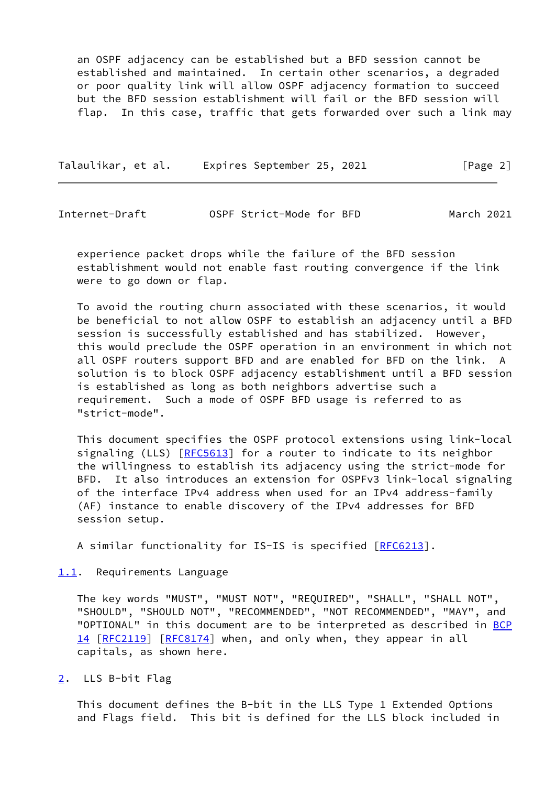an OSPF adjacency can be established but a BFD session cannot be established and maintained. In certain other scenarios, a degraded or poor quality link will allow OSPF adjacency formation to succeed but the BFD session establishment will fail or the BFD session will flap. In this case, traffic that gets forwarded over such a link may

Talaulikar, et al. Expires September 25, 2021 [Page 2]

<span id="page-2-1"></span>Internet-Draft OSPF Strict-Mode for BFD March 2021

 experience packet drops while the failure of the BFD session establishment would not enable fast routing convergence if the link were to go down or flap.

 To avoid the routing churn associated with these scenarios, it would be beneficial to not allow OSPF to establish an adjacency until a BFD session is successfully established and has stabilized. However, this would preclude the OSPF operation in an environment in which not all OSPF routers support BFD and are enabled for BFD on the link. A solution is to block OSPF adjacency establishment until a BFD session is established as long as both neighbors advertise such a requirement. Such a mode of OSPF BFD usage is referred to as "strict-mode".

 This document specifies the OSPF protocol extensions using link-local signaling (LLS) [\[RFC5613](https://datatracker.ietf.org/doc/pdf/rfc5613)] for a router to indicate to its neighbor the willingness to establish its adjacency using the strict-mode for BFD. It also introduces an extension for OSPFv3 link-local signaling of the interface IPv4 address when used for an IPv4 address-family (AF) instance to enable discovery of the IPv4 addresses for BFD session setup.

A similar functionality for IS-IS is specified [\[RFC6213](https://datatracker.ietf.org/doc/pdf/rfc6213)].

<span id="page-2-0"></span>[1.1](#page-2-0). Requirements Language

 The key words "MUST", "MUST NOT", "REQUIRED", "SHALL", "SHALL NOT", "SHOULD", "SHOULD NOT", "RECOMMENDED", "NOT RECOMMENDED", "MAY", and "OPTIONAL" in this document are to be interpreted as described in [BCP](https://datatracker.ietf.org/doc/pdf/bcp14) [14](https://datatracker.ietf.org/doc/pdf/bcp14) [[RFC2119\]](https://datatracker.ietf.org/doc/pdf/rfc2119) [\[RFC8174](https://datatracker.ietf.org/doc/pdf/rfc8174)] when, and only when, they appear in all capitals, as shown here.

<span id="page-2-2"></span>[2](#page-2-2). LLS B-bit Flag

 This document defines the B-bit in the LLS Type 1 Extended Options and Flags field. This bit is defined for the LLS block included in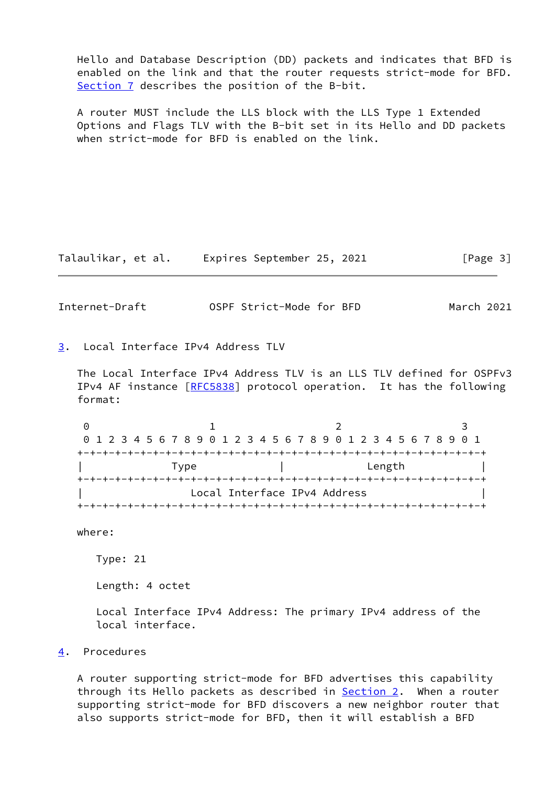Hello and Database Description (DD) packets and indicates that BFD is enabled on the link and that the router requests strict-mode for BFD. [Section 7](#page-7-1) describes the position of the B-bit.

 A router MUST include the LLS block with the LLS Type 1 Extended Options and Flags TLV with the B-bit set in its Hello and DD packets when strict-mode for BFD is enabled on the link.

Talaulikar, et al. Expires September 25, 2021 [Page 3]

<span id="page-3-1"></span>Internet-Draft OSPF Strict-Mode for BFD March 2021

<span id="page-3-0"></span>[3](#page-3-0). Local Interface IPv4 Address TLV

 The Local Interface IPv4 Address TLV is an LLS TLV defined for OSPFv3 IPv4 AF instance [\[RFC5838](https://datatracker.ietf.org/doc/pdf/rfc5838)] protocol operation. It has the following format:

0 1 2 3 0 1 2 3 4 5 6 7 8 9 0 1 2 3 4 5 6 7 8 9 0 1 2 3 4 5 6 7 8 9 0 1 +-+-+-+-+-+-+-+-+-+-+-+-+-+-+-+-+-+-+-+-+-+-+-+-+-+-+-+-+-+-+-+-+ | Type | Length | +-+-+-+-+-+-+-+-+-+-+-+-+-+-+-+-+-+-+-+-+-+-+-+-+-+-+-+-+-+-+-+-+ Local Interface IPv4 Address +-+-+-+-+-+-+-+-+-+-+-+-+-+-+-+-+-+-+-+-+-+-+-+-+-+-+-+-+-+-+-+-+

where:

Type: 21

Length: 4 octet

 Local Interface IPv4 Address: The primary IPv4 address of the local interface.

<span id="page-3-2"></span>[4](#page-3-2). Procedures

 A router supporting strict-mode for BFD advertises this capability through its Hello packets as described in **Section 2.** When a router supporting strict-mode for BFD discovers a new neighbor router that also supports strict-mode for BFD, then it will establish a BFD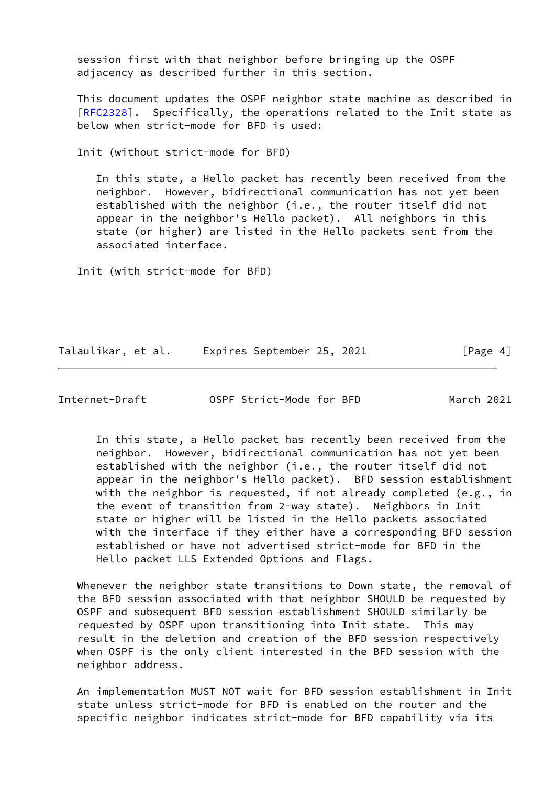session first with that neighbor before bringing up the OSPF adjacency as described further in this section.

 This document updates the OSPF neighbor state machine as described in [\[RFC2328](https://datatracker.ietf.org/doc/pdf/rfc2328)]. Specifically, the operations related to the Init state as below when strict-mode for BFD is used:

Init (without strict-mode for BFD)

 In this state, a Hello packet has recently been received from the neighbor. However, bidirectional communication has not yet been established with the neighbor (i.e., the router itself did not appear in the neighbor's Hello packet). All neighbors in this state (or higher) are listed in the Hello packets sent from the associated interface.

Init (with strict-mode for BFD)

Talaulikar, et al. Expires September 25, 2021 [Page 4]

Internet-Draft OSPF Strict-Mode for BFD March 2021

 In this state, a Hello packet has recently been received from the neighbor. However, bidirectional communication has not yet been established with the neighbor (i.e., the router itself did not appear in the neighbor's Hello packet). BFD session establishment with the neighbor is requested, if not already completed (e.g., in the event of transition from 2-way state). Neighbors in Init state or higher will be listed in the Hello packets associated with the interface if they either have a corresponding BFD session established or have not advertised strict-mode for BFD in the Hello packet LLS Extended Options and Flags.

 Whenever the neighbor state transitions to Down state, the removal of the BFD session associated with that neighbor SHOULD be requested by OSPF and subsequent BFD session establishment SHOULD similarly be requested by OSPF upon transitioning into Init state. This may result in the deletion and creation of the BFD session respectively when OSPF is the only client interested in the BFD session with the neighbor address.

 An implementation MUST NOT wait for BFD session establishment in Init state unless strict-mode for BFD is enabled on the router and the specific neighbor indicates strict-mode for BFD capability via its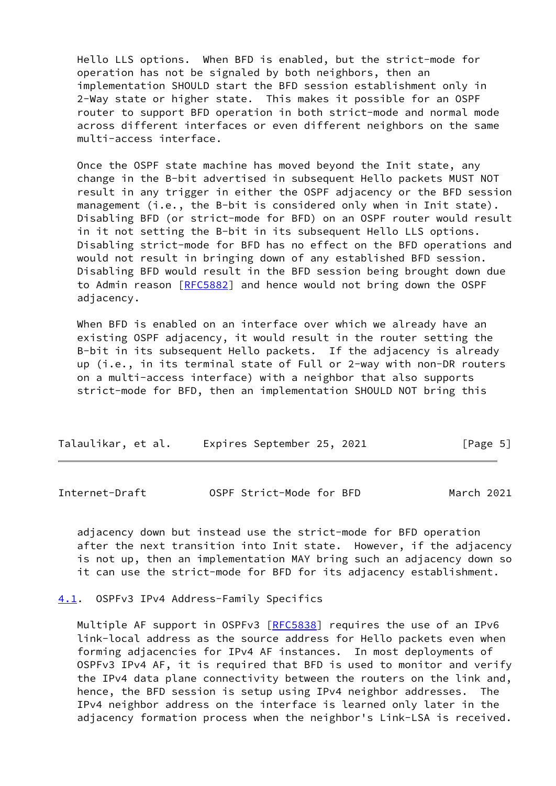Hello LLS options. When BFD is enabled, but the strict-mode for operation has not be signaled by both neighbors, then an implementation SHOULD start the BFD session establishment only in 2-Way state or higher state. This makes it possible for an OSPF router to support BFD operation in both strict-mode and normal mode across different interfaces or even different neighbors on the same multi-access interface.

 Once the OSPF state machine has moved beyond the Init state, any change in the B-bit advertised in subsequent Hello packets MUST NOT result in any trigger in either the OSPF adjacency or the BFD session management (i.e., the B-bit is considered only when in Init state). Disabling BFD (or strict-mode for BFD) on an OSPF router would result in it not setting the B-bit in its subsequent Hello LLS options. Disabling strict-mode for BFD has no effect on the BFD operations and would not result in bringing down of any established BFD session. Disabling BFD would result in the BFD session being brought down due to Admin reason [\[RFC5882](https://datatracker.ietf.org/doc/pdf/rfc5882)] and hence would not bring down the OSPF adjacency.

 When BFD is enabled on an interface over which we already have an existing OSPF adjacency, it would result in the router setting the B-bit in its subsequent Hello packets. If the adjacency is already up (i.e., in its terminal state of Full or 2-way with non-DR routers on a multi-access interface) with a neighbor that also supports strict-mode for BFD, then an implementation SHOULD NOT bring this

| Talaulikar, et al. |  | Expires September 25, 2021 |  |  | [Page 5] |  |  |
|--------------------|--|----------------------------|--|--|----------|--|--|
|--------------------|--|----------------------------|--|--|----------|--|--|

<span id="page-5-1"></span>Internet-Draft OSPF Strict-Mode for BFD March 2021

 adjacency down but instead use the strict-mode for BFD operation after the next transition into Init state. However, if the adjacency is not up, then an implementation MAY bring such an adjacency down so it can use the strict-mode for BFD for its adjacency establishment.

<span id="page-5-0"></span>[4.1](#page-5-0). OSPFv3 IPv4 Address-Family Specifics

Multiple AF support in OSPFv3 [[RFC5838](https://datatracker.ietf.org/doc/pdf/rfc5838)] requires the use of an IPv6 link-local address as the source address for Hello packets even when forming adjacencies for IPv4 AF instances. In most deployments of OSPFv3 IPv4 AF, it is required that BFD is used to monitor and verify the IPv4 data plane connectivity between the routers on the link and, hence, the BFD session is setup using IPv4 neighbor addresses. The IPv4 neighbor address on the interface is learned only later in the adjacency formation process when the neighbor's Link-LSA is received.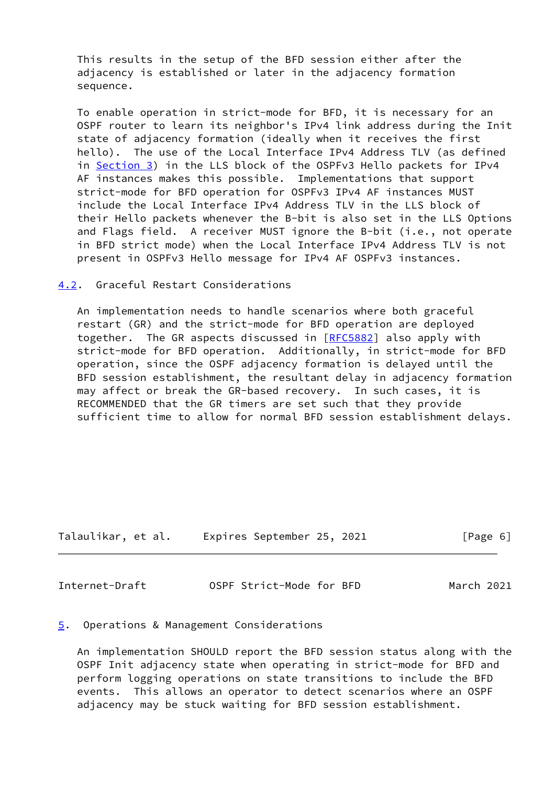This results in the setup of the BFD session either after the adjacency is established or later in the adjacency formation sequence.

 To enable operation in strict-mode for BFD, it is necessary for an OSPF router to learn its neighbor's IPv4 link address during the Init state of adjacency formation (ideally when it receives the first hello). The use of the Local Interface IPv4 Address TLV (as defined in [Section 3\)](#page-3-0) in the LLS block of the OSPFv3 Hello packets for IPv4 AF instances makes this possible. Implementations that support strict-mode for BFD operation for OSPFv3 IPv4 AF instances MUST include the Local Interface IPv4 Address TLV in the LLS block of their Hello packets whenever the B-bit is also set in the LLS Options and Flags field. A receiver MUST ignore the B-bit (i.e., not operate in BFD strict mode) when the Local Interface IPv4 Address TLV is not present in OSPFv3 Hello message for IPv4 AF OSPFv3 instances.

<span id="page-6-0"></span>[4.2](#page-6-0). Graceful Restart Considerations

 An implementation needs to handle scenarios where both graceful restart (GR) and the strict-mode for BFD operation are deployed together. The GR aspects discussed in [\[RFC5882](https://datatracker.ietf.org/doc/pdf/rfc5882)] also apply with strict-mode for BFD operation. Additionally, in strict-mode for BFD operation, since the OSPF adjacency formation is delayed until the BFD session establishment, the resultant delay in adjacency formation may affect or break the GR-based recovery. In such cases, it is RECOMMENDED that the GR timers are set such that they provide sufficient time to allow for normal BFD session establishment delays.

Talaulikar, et al. Expires September 25, 2021 [Page 6]

<span id="page-6-2"></span>Internet-Draft OSPF Strict-Mode for BFD March 2021

## <span id="page-6-1"></span>[5](#page-6-1). Operations & Management Considerations

 An implementation SHOULD report the BFD session status along with the OSPF Init adjacency state when operating in strict-mode for BFD and perform logging operations on state transitions to include the BFD events. This allows an operator to detect scenarios where an OSPF adjacency may be stuck waiting for BFD session establishment.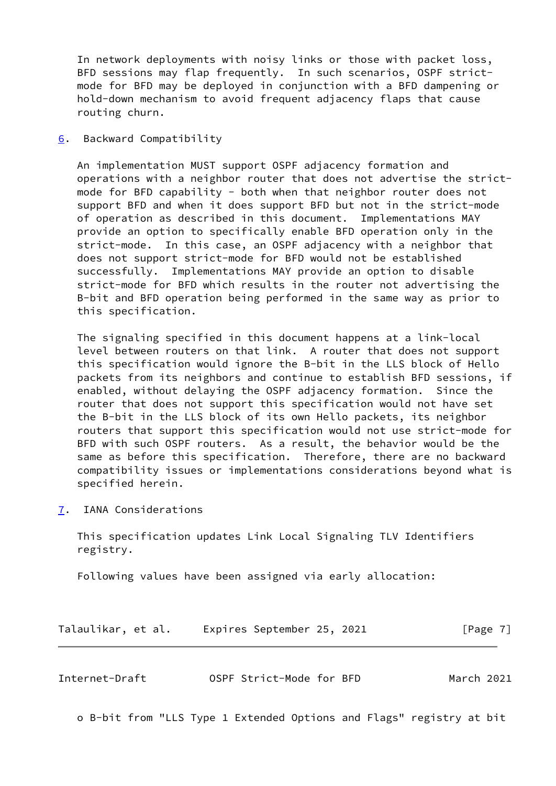In network deployments with noisy links or those with packet loss, BFD sessions may flap frequently. In such scenarios, OSPF strict mode for BFD may be deployed in conjunction with a BFD dampening or hold-down mechanism to avoid frequent adjacency flaps that cause routing churn.

<span id="page-7-0"></span>[6](#page-7-0). Backward Compatibility

 An implementation MUST support OSPF adjacency formation and operations with a neighbor router that does not advertise the strict mode for BFD capability - both when that neighbor router does not support BFD and when it does support BFD but not in the strict-mode of operation as described in this document. Implementations MAY provide an option to specifically enable BFD operation only in the strict-mode. In this case, an OSPF adjacency with a neighbor that does not support strict-mode for BFD would not be established successfully. Implementations MAY provide an option to disable strict-mode for BFD which results in the router not advertising the B-bit and BFD operation being performed in the same way as prior to this specification.

 The signaling specified in this document happens at a link-local level between routers on that link. A router that does not support this specification would ignore the B-bit in the LLS block of Hello packets from its neighbors and continue to establish BFD sessions, if enabled, without delaying the OSPF adjacency formation. Since the router that does not support this specification would not have set the B-bit in the LLS block of its own Hello packets, its neighbor routers that support this specification would not use strict-mode for BFD with such OSPF routers. As a result, the behavior would be the same as before this specification. Therefore, there are no backward compatibility issues or implementations considerations beyond what is specified herein.

<span id="page-7-1"></span>[7](#page-7-1). IANA Considerations

 This specification updates Link Local Signaling TLV Identifiers registry.

Following values have been assigned via early allocation:

Talaulikar, et al. Expires September 25, 2021 [Page 7]

<span id="page-7-2"></span>

| OSPF Strict-Mode for BFD<br>March 2021<br>Internet-Draft |  |  |  |  |
|----------------------------------------------------------|--|--|--|--|
|----------------------------------------------------------|--|--|--|--|

o B-bit from "LLS Type 1 Extended Options and Flags" registry at bit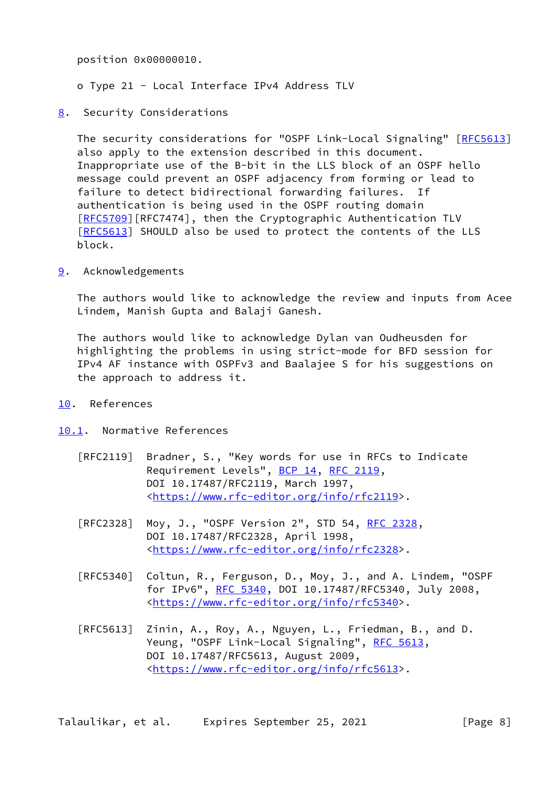position 0x00000010.

- o Type 21 Local Interface IPv4 Address TLV
- <span id="page-8-0"></span>[8](#page-8-0). Security Considerations

 The security considerations for "OSPF Link-Local Signaling" [\[RFC5613](https://datatracker.ietf.org/doc/pdf/rfc5613)] also apply to the extension described in this document. Inappropriate use of the B-bit in the LLS block of an OSPF hello message could prevent an OSPF adjacency from forming or lead to failure to detect bidirectional forwarding failures. If authentication is being used in the OSPF routing domain [\[RFC5709](https://datatracker.ietf.org/doc/pdf/rfc5709)][RFC7474], then the Cryptographic Authentication TLV [\[RFC5613](https://datatracker.ietf.org/doc/pdf/rfc5613)] SHOULD also be used to protect the contents of the LLS block.

<span id="page-8-1"></span>[9](#page-8-1). Acknowledgements

 The authors would like to acknowledge the review and inputs from Acee Lindem, Manish Gupta and Balaji Ganesh.

 The authors would like to acknowledge Dylan van Oudheusden for highlighting the problems in using strict-mode for BFD session for IPv4 AF instance with OSPFv3 and Baalajee S for his suggestions on the approach to address it.

- <span id="page-8-2"></span>[10.](#page-8-2) References
- <span id="page-8-3"></span>[10.1](#page-8-3). Normative References
	- [RFC2119] Bradner, S., "Key words for use in RFCs to Indicate Requirement Levels", [BCP 14](https://datatracker.ietf.org/doc/pdf/bcp14), [RFC 2119](https://datatracker.ietf.org/doc/pdf/rfc2119), DOI 10.17487/RFC2119, March 1997, <[https://www.rfc-editor.org/info/rfc2119>](https://www.rfc-editor.org/info/rfc2119).
	- [RFC2328] Moy, J., "OSPF Version 2", STD 54, [RFC 2328](https://datatracker.ietf.org/doc/pdf/rfc2328), DOI 10.17487/RFC2328, April 1998, <[https://www.rfc-editor.org/info/rfc2328>](https://www.rfc-editor.org/info/rfc2328).
	- [RFC5340] Coltun, R., Ferguson, D., Moy, J., and A. Lindem, "OSPF for IPv6", [RFC 5340](https://datatracker.ietf.org/doc/pdf/rfc5340), DOI 10.17487/RFC5340, July 2008, <[https://www.rfc-editor.org/info/rfc5340>](https://www.rfc-editor.org/info/rfc5340).
	- [RFC5613] Zinin, A., Roy, A., Nguyen, L., Friedman, B., and D. Yeung, "OSPF Link-Local Signaling", [RFC 5613,](https://datatracker.ietf.org/doc/pdf/rfc5613) DOI 10.17487/RFC5613, August 2009, <[https://www.rfc-editor.org/info/rfc5613>](https://www.rfc-editor.org/info/rfc5613).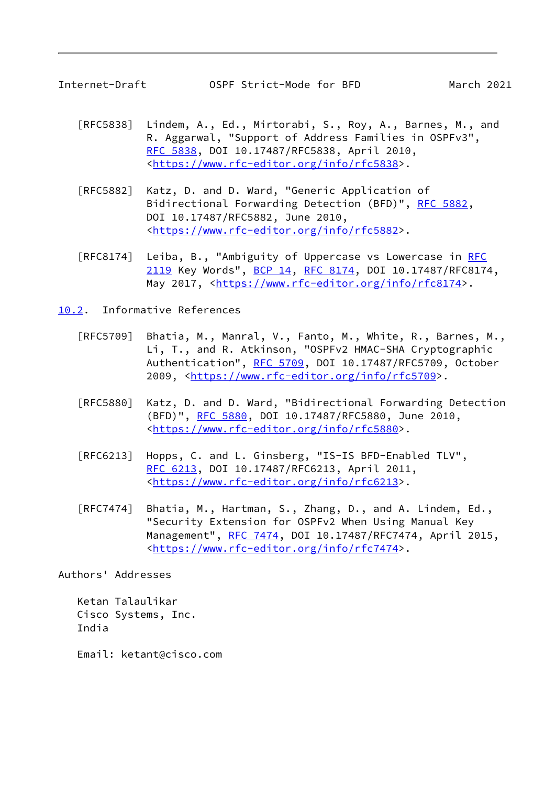<span id="page-9-1"></span>

- [RFC5838] Lindem, A., Ed., Mirtorabi, S., Roy, A., Barnes, M., and R. Aggarwal, "Support of Address Families in OSPFv3", [RFC 5838,](https://datatracker.ietf.org/doc/pdf/rfc5838) DOI 10.17487/RFC5838, April 2010, <[https://www.rfc-editor.org/info/rfc5838>](https://www.rfc-editor.org/info/rfc5838).
- [RFC5882] Katz, D. and D. Ward, "Generic Application of Bidirectional Forwarding Detection (BFD)", [RFC 5882](https://datatracker.ietf.org/doc/pdf/rfc5882), DOI 10.17487/RFC5882, June 2010, <[https://www.rfc-editor.org/info/rfc5882>](https://www.rfc-editor.org/info/rfc5882).
- [RFC8174] Leiba, B., "Ambiguity of Uppercase vs Lowercase in [RFC](https://datatracker.ietf.org/doc/pdf/rfc2119) [2119](https://datatracker.ietf.org/doc/pdf/rfc2119) Key Words", [BCP 14](https://datatracker.ietf.org/doc/pdf/bcp14), [RFC 8174,](https://datatracker.ietf.org/doc/pdf/rfc8174) DOI 10.17487/RFC8174, May 2017, [<https://www.rfc-editor.org/info/rfc8174](https://www.rfc-editor.org/info/rfc8174)>.

<span id="page-9-0"></span>[10.2](#page-9-0). Informative References

- [RFC5709] Bhatia, M., Manral, V., Fanto, M., White, R., Barnes, M., Li, T., and R. Atkinson, "OSPFv2 HMAC-SHA Cryptographic Authentication", [RFC 5709,](https://datatracker.ietf.org/doc/pdf/rfc5709) DOI 10.17487/RFC5709, October 2009, [<https://www.rfc-editor.org/info/rfc5709](https://www.rfc-editor.org/info/rfc5709)>.
- [RFC5880] Katz, D. and D. Ward, "Bidirectional Forwarding Detection (BFD)", [RFC 5880,](https://datatracker.ietf.org/doc/pdf/rfc5880) DOI 10.17487/RFC5880, June 2010, <[https://www.rfc-editor.org/info/rfc5880>](https://www.rfc-editor.org/info/rfc5880).
- [RFC6213] Hopps, C. and L. Ginsberg, "IS-IS BFD-Enabled TLV", [RFC 6213,](https://datatracker.ietf.org/doc/pdf/rfc6213) DOI 10.17487/RFC6213, April 2011, <[https://www.rfc-editor.org/info/rfc6213>](https://www.rfc-editor.org/info/rfc6213).
- [RFC7474] Bhatia, M., Hartman, S., Zhang, D., and A. Lindem, Ed., "Security Extension for OSPFv2 When Using Manual Key Management", [RFC 7474](https://datatracker.ietf.org/doc/pdf/rfc7474), DOI 10.17487/RFC7474, April 2015, <[https://www.rfc-editor.org/info/rfc7474>](https://www.rfc-editor.org/info/rfc7474).

Authors' Addresses

 Ketan Talaulikar Cisco Systems, Inc. India

Email: ketant@cisco.com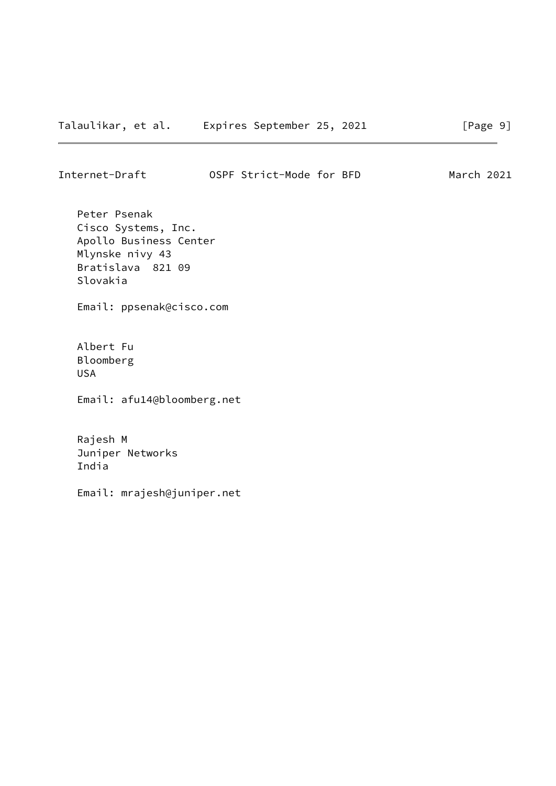Internet-Draft OSPF Strict-Mode for BFD March 2021

 Peter Psenak Cisco Systems, Inc. Apollo Business Center Mlynske nivy 43 Bratislava 821 09 Slovakia

Email: ppsenak@cisco.com

 Albert Fu Bloomberg USA

Email: afu14@bloomberg.net

 Rajesh M Juniper Networks India

Email: mrajesh@juniper.net